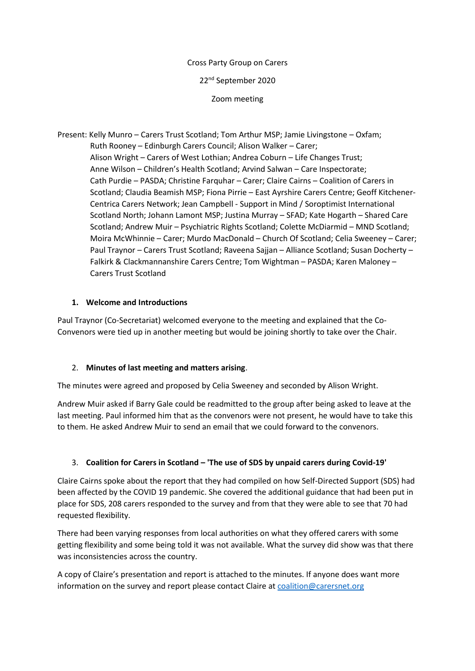#### Cross Party Group on Carers

22nd September 2020

Zoom meeting

Present: Kelly Munro – Carers Trust Scotland; Tom Arthur MSP; Jamie Livingstone – Oxfam; Ruth Rooney – Edinburgh Carers Council; Alison Walker – Carer; Alison Wright – Carers of West Lothian; Andrea Coburn – Life Changes Trust; Anne Wilson – Children's Health Scotland; Arvind Salwan – Care Inspectorate; Cath Purdie – PASDA; Christine Farquhar – Carer; Claire Cairns – Coalition of Carers in Scotland; Claudia Beamish MSP; Fiona Pirrie – East Ayrshire Carers Centre; Geoff Kitchener- Centrica Carers Network; Jean Campbell - Support in Mind / Soroptimist International Scotland North; Johann Lamont MSP; Justina Murray – SFAD; Kate Hogarth – Shared Care Scotland; Andrew Muir – Psychiatric Rights Scotland; Colette McDiarmid – MND Scotland; Moira McWhinnie – Carer; Murdo MacDonald – Church Of Scotland; Celia Sweeney – Carer; Paul Traynor – Carers Trust Scotland; Raveena Sajjan – Alliance Scotland; Susan Docherty – Falkirk & Clackmannanshire Carers Centre; Tom Wightman – PASDA; Karen Maloney – Carers Trust Scotland

## **1. Welcome and Introductions**

Paul Traynor (Co-Secretariat) welcomed everyone to the meeting and explained that the Co-Convenors were tied up in another meeting but would be joining shortly to take over the Chair.

# 2. **Minutes of last meeting and matters arising**.

The minutes were agreed and proposed by Celia Sweeney and seconded by Alison Wright.

Andrew Muir asked if Barry Gale could be readmitted to the group after being asked to leave at the last meeting. Paul informed him that as the convenors were not present, he would have to take this to them. He asked Andrew Muir to send an email that we could forward to the convenors.

# 3. **Coalition for Carers in Scotland – 'The use of SDS by unpaid carers during Covid-19'**

Claire Cairns spoke about the report that they had compiled on how Self-Directed Support (SDS) had been affected by the COVID 19 pandemic. She covered the additional guidance that had been put in place for SDS, 208 carers responded to the survey and from that they were able to see that 70 had requested flexibility.

There had been varying responses from local authorities on what they offered carers with some getting flexibility and some being told it was not available. What the survey did show was that there was inconsistencies across the country.

A copy of Claire's presentation and report is attached to the minutes. If anyone does want more information on the survey and report please contact Claire at [coalition@carersnet.org](mailto:coalition@carersnet.org)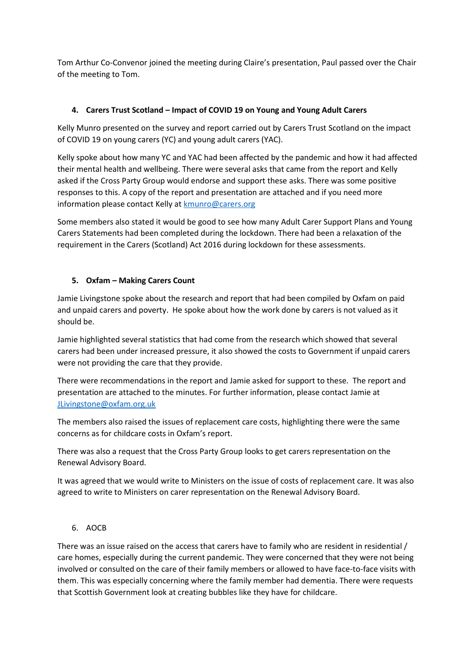Tom Arthur Co-Convenor joined the meeting during Claire's presentation, Paul passed over the Chair of the meeting to Tom.

## **4. Carers Trust Scotland – Impact of COVID 19 on Young and Young Adult Carers**

Kelly Munro presented on the survey and report carried out by Carers Trust Scotland on the impact of COVID 19 on young carers (YC) and young adult carers (YAC).

Kelly spoke about how many YC and YAC had been affected by the pandemic and how it had affected their mental health and wellbeing. There were several asks that came from the report and Kelly asked if the Cross Party Group would endorse and support these asks. There was some positive responses to this. A copy of the report and presentation are attached and if you need more information please contact Kelly at [kmunro@carers.org](mailto:kmunro@carers.org)

Some members also stated it would be good to see how many Adult Carer Support Plans and Young Carers Statements had been completed during the lockdown. There had been a relaxation of the requirement in the Carers (Scotland) Act 2016 during lockdown for these assessments.

## **5. Oxfam – Making Carers Count**

Jamie Livingstone spoke about the research and report that had been compiled by Oxfam on paid and unpaid carers and poverty. He spoke about how the work done by carers is not valued as it should be.

Jamie highlighted several statistics that had come from the research which showed that several carers had been under increased pressure, it also showed the costs to Government if unpaid carers were not providing the care that they provide.

There were recommendations in the report and Jamie asked for support to these. The report and presentation are attached to the minutes. For further information, please contact Jamie at [JLivingstone@oxfam.org.uk](mailto:JLivingstone@oxfam.org.uk)

The members also raised the issues of replacement care costs, highlighting there were the same concerns as for childcare costs in Oxfam's report.

There was also a request that the Cross Party Group looks to get carers representation on the Renewal Advisory Board.

It was agreed that we would write to Ministers on the issue of costs of replacement care. It was also agreed to write to Ministers on carer representation on the Renewal Advisory Board.

#### 6. AOCB

There was an issue raised on the access that carers have to family who are resident in residential / care homes, especially during the current pandemic. They were concerned that they were not being involved or consulted on the care of their family members or allowed to have face-to-face visits with them. This was especially concerning where the family member had dementia. There were requests that Scottish Government look at creating bubbles like they have for childcare.